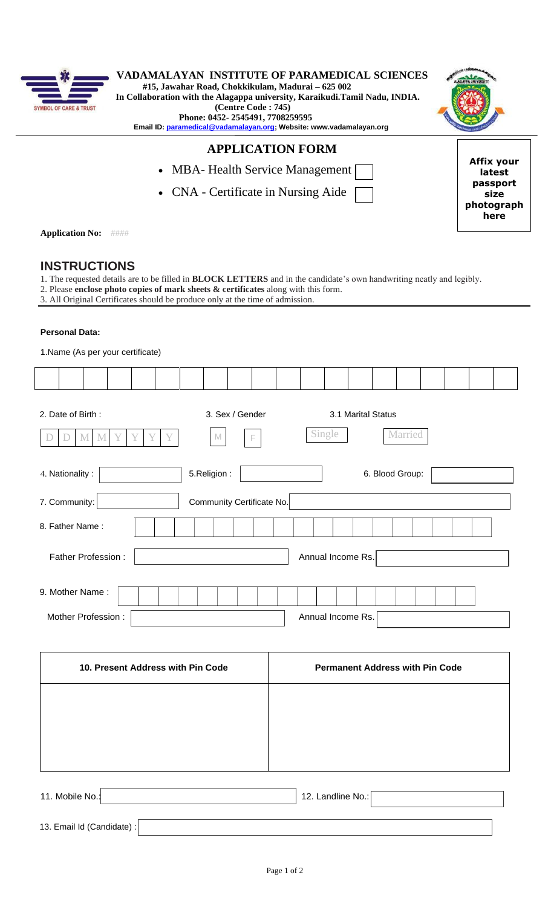

| $- \mathbf{3}$               | VADAMALAYAN INSTITUTE OF PARAMEDICAL SCIENCES                               |  |
|------------------------------|-----------------------------------------------------------------------------|--|
|                              | #15, Jawahar Road, Chokkikulam, Madurai – 625 002                           |  |
|                              | In Collaboration with the Alagappa university, Karaikudi.Tamil Nadu, INDIA. |  |
| <b>L OF CARE &amp; TRUST</b> | (Centre Code: 745)                                                          |  |
|                              | Phone: 0452-2545491, 7708259595                                             |  |
|                              | Email ID: paramedical@vadamalayan.org; Website: www.vadamalayan.org         |  |
|                              |                                                                             |  |

# **APPLICATION FORM**

- MBA- Health Service Management [
- CNA Certificate in Nursing Aide



**photograph here**

**Application No:** ####

# **INSTRUCTIONS**

- 1. The requested details are to be filled in **BLOCK LETTERS** and in the candidate's own handwriting neatly and legibly.
- 2. Please **enclose photo copies of mark sheets & certificates** along with this form.
- 3. All Original Certificates should be produce only at the time of admission.

## **Personal Data:**

| 1. Name (As per your certificate)                                   |                           |  |  |                                         |  |  |  |                 |  |  |  |
|---------------------------------------------------------------------|---------------------------|--|--|-----------------------------------------|--|--|--|-----------------|--|--|--|
|                                                                     |                           |  |  |                                         |  |  |  |                 |  |  |  |
| 2. Date of Birth:<br>Y<br>Y<br>Y<br>$\mathbf M$<br>M<br>Y<br>D<br>Ð | 3. Sex / Gender<br>M<br>F |  |  | 3.1 Marital Status<br>Single<br>Married |  |  |  |                 |  |  |  |
| 4. Nationality:                                                     | 5.Religion:               |  |  |                                         |  |  |  | 6. Blood Group: |  |  |  |
| 7. Community:                                                       | Community Certificate No. |  |  |                                         |  |  |  |                 |  |  |  |
| 8. Father Name:                                                     |                           |  |  |                                         |  |  |  |                 |  |  |  |
| Annual Income Rs.<br>Father Profession:                             |                           |  |  |                                         |  |  |  |                 |  |  |  |
| 9. Mother Name:                                                     |                           |  |  |                                         |  |  |  |                 |  |  |  |
| Mother Profession:                                                  |                           |  |  | Annual Income Rs.                       |  |  |  |                 |  |  |  |
|                                                                     |                           |  |  |                                         |  |  |  |                 |  |  |  |

| 10. Present Address with Pin Code | <b>Permanent Address with Pin Code</b> |
|-----------------------------------|----------------------------------------|
|                                   |                                        |
|                                   |                                        |
|                                   |                                        |
|                                   |                                        |

| 11. Mobile No.:            | 12. Landline $No.:$ |  |
|----------------------------|---------------------|--|
| 13. Email Id (Candidate) : |                     |  |